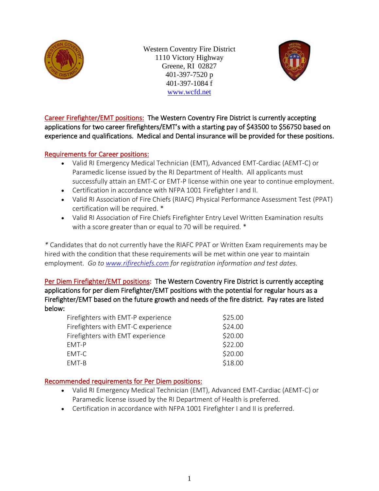

Western Coventry Fire District 1110 Victory Highway Greene, RI 02827 401-397-7520 p 401-397-1084 f [www.wcfd.net](http://www.wcfd.net/)



Career Firefighter/EMT positions: The Western Coventry Fire District is currently accepting applications for two career firefighters/EMT's with a starting pay of \$43500 to \$56750 based on experience and qualifications. Medical and Dental insurance will be provided for these positions.

## Requirements for Career positions:

- Valid RI Emergency Medical Technician (EMT), Advanced EMT-Cardiac (AEMT-C) or Paramedic license issued by the RI Department of Health. All applicants must successfully attain an EMT-C or EMT-P license within one year to continue employment.
- Certification in accordance with NFPA 1001 Firefighter I and II.
- Valid RI Association of Fire Chiefs (RIAFC) Physical Performance Assessment Test (PPAT) certification will be required. \*
- Valid RI Association of Fire Chiefs Firefighter Entry Level Written Examination results with a score greater than or equal to 70 will be required.  $*$

*\** Candidates that do not currently have the RIAFC PPAT or Written Exam requirements may be hired with the condition that these requirements will be met within one year to maintain employment. *Go to [www.rifirechiefs.com](http://www.rifirechiefs.com/) for registration information and test dates.*

Per Diem Firefighter/EMT positions: The Western Coventry Fire District is currently accepting applications for per diem Firefighter/EMT positions with the potential for regular hours as a Firefighter/EMT based on the future growth and needs of the fire district. Pay rates are listed below:

| Firefighters with EMT-P experience | \$25.00 |
|------------------------------------|---------|
| Firefighters with EMT-C experience | \$24.00 |
| Firefighters with EMT experience   | \$20.00 |
| FMT-P                              | \$22.00 |
| EMT-C                              | \$20.00 |
| EMT-B                              | \$18.00 |

# Recommended requirements for Per Diem positions:

- Valid RI Emergency Medical Technician (EMT), Advanced EMT-Cardiac (AEMT-C) or Paramedic license issued by the RI Department of Health is preferred.
- Certification in accordance with NFPA 1001 Firefighter I and II is preferred.